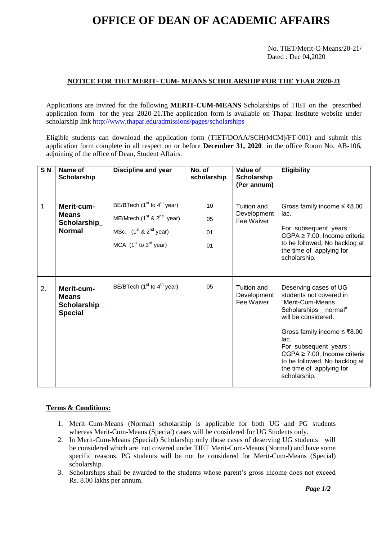# **OFFICE OF DEAN OF ACADEMIC AFFAIRS**

No. TIET/Merit-C-Means/20-21/ Dated : Dec 04,2020

## **NOTICE FOR TIET MERIT- CUM- MEANS SCHOLARSHIP FOR THE YEAR 2020-21**

Applications are invited for the following **MERIT-CUM-MEANS** Scholarships of TIET on the prescribed application form for the year 2020-21.The application form is available on Thapar Institute website under scholarship lin[k http://www.thapar.edu/admissions/pages/scholarships](http://www.thapar.edu/admissions/pages/scholarships)

Eligible students can download the application form (TIET/DOAA/SCH(MCM)/FT-001) and submit this application form complete in all respect on or before **December 31, 2020** in the office Room No. AB-106, adjoining of the office of Dean, Student Affairs.

| S <sub>N</sub> | Name of<br>Scholarship                                       | Discipline and year                                                                                                     | No. of<br>scholarship | Value of<br>Scholarship<br>(Per annum)   | <b>Eligibility</b>                                                                                                                                                                                                                                                                                        |
|----------------|--------------------------------------------------------------|-------------------------------------------------------------------------------------------------------------------------|-----------------------|------------------------------------------|-----------------------------------------------------------------------------------------------------------------------------------------------------------------------------------------------------------------------------------------------------------------------------------------------------------|
| 1.             | Merit-cum-<br><b>Means</b><br>Scholarship_<br><b>Normal</b>  | BE/BTech $(1st$ to $4th$ year)<br>ME/Mtech $(1st$ & $2nd$ year)<br>MSc. $(1st & 2nd$ year)<br>MCA $(1st$ to $3rd$ year) | 10<br>05<br>01<br>01  | Tuition and<br>Development<br>Fee Waiver | Gross family income $\leq$ ₹8.00<br>lac.<br>For subsequent years :<br>CGPA $\geq$ 7.00, Income criteria<br>to be followed, No backlog at<br>the time of applying for<br>scholarship.                                                                                                                      |
| 2.             | Merit-cum-<br><b>Means</b><br>Scholarship_<br><b>Special</b> | BE/BTech $(1st$ to $4th$ year)                                                                                          | 05                    | Tuition and<br>Development<br>Fee Waiver | Deserving cases of UG<br>students not covered in<br>"Merit-Cum-Means<br>Scholarships _ normal"<br>will be considered.<br>Gross family income ≤ ₹8.00<br>lac.<br>For subsequent years :<br>$CGPA \geq 7.00$ , Income criteria<br>to be followed, No backlog at<br>the time of applying for<br>scholarship. |

#### **Terms & Conditions:**

- 1. Merit–Cum-Means (Normal) scholarship is applicable for both UG and PG students whereas Merit-Cum-Means (Special) cases will be considered for UG Students only.
- 2. In Merit-Cum-Means (Special) Scholarship only those cases of deserving UG students will be considered which are not covered under TIET Merit-Cum-Means (Normal) and have some specific reasons. PG students will be not be considered for Merit-Cum-Means (Special) scholarship.
- 3. Scholarships shall be awarded to the students whose parent's gross income does not exceed Rs. 8.00 lakhs per annum.